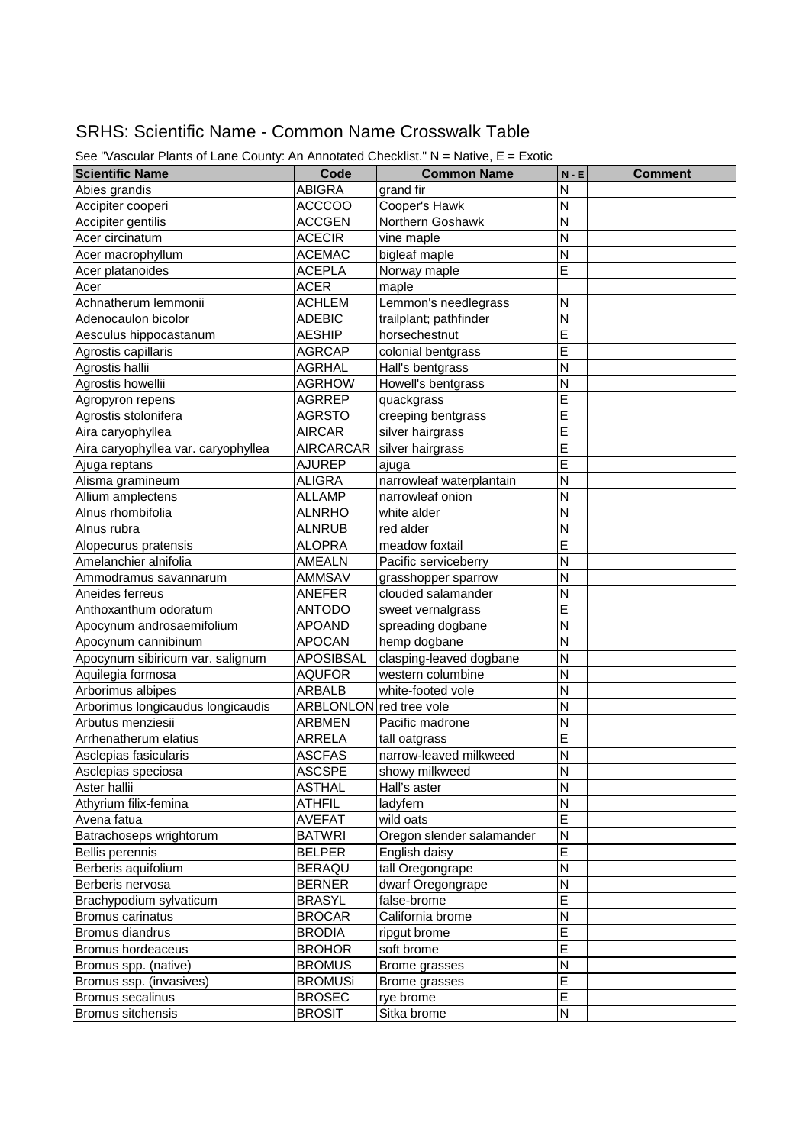## SRHS: Scientific Name - Common Name Crosswalk Table

| <b>Scientific Name</b>              | Code                    | <b>Common Name</b>        | $N - E$        | <b>Comment</b> |
|-------------------------------------|-------------------------|---------------------------|----------------|----------------|
| Abies grandis                       | <b>ABIGRA</b>           | grand fir                 | N              |                |
| Accipiter cooperi                   | <b>ACCCOO</b>           | Cooper's Hawk             | Ν              |                |
| Accipiter gentilis                  | <b>ACCGEN</b>           | Northern Goshawk          | Ν              |                |
| Acer circinatum                     | <b>ACECIR</b>           | vine maple                | N              |                |
| Acer macrophyllum                   | <b>ACEMAC</b>           | bigleaf maple             | N              |                |
| Acer platanoides                    | <b>ACEPLA</b>           | Norway maple              | E              |                |
|                                     | <b>ACER</b>             | maple                     |                |                |
| Acer<br>Achnatherum lemmonii        | <b>ACHLEM</b>           | Lemmon's needlegrass      | Ν              |                |
| Adenocaulon bicolor                 | <b>ADEBIC</b>           | trailplant; pathfinder    | N              |                |
| Aesculus hippocastanum              | <b>AESHIP</b>           | horsechestnut             | E              |                |
| Agrostis capillaris                 | <b>AGRCAP</b>           | colonial bentgrass        | E              |                |
| Agrostis hallii                     | <b>AGRHAL</b>           | Hall's bentgrass          | N              |                |
|                                     |                         |                           | N              |                |
| Agrostis howellii                   | <b>AGRHOW</b>           | Howell's bentgrass        |                |                |
| Agropyron repens                    | <b>AGRREP</b>           | quackgrass                | E              |                |
| Agrostis stolonifera                | <b>AGRSTO</b>           | creeping bentgrass        | Е              |                |
| Aira caryophyllea                   | <b>AIRCAR</b>           | silver hairgrass          | E              |                |
| Aira caryophyllea var. caryophyllea | <b>AIRCARCAR</b>        | silver hairgrass          | E              |                |
| Ajuga reptans                       | <b>AJUREP</b>           | ajuga                     | E              |                |
| Alisma gramineum                    | <b>ALIGRA</b>           | narrowleaf waterplantain  | N              |                |
| Allium amplectens                   | ALLAMP                  | narrowleaf onion          | Ν              |                |
| Alnus rhombifolia                   | ALNRHO                  | white alder               | N              |                |
| Alnus rubra                         | ALNRUB                  | red alder                 | N              |                |
| Alopecurus pratensis                | <b>ALOPRA</b>           | meadow foxtail            | E              |                |
| Amelanchier alnifolia               | AMEALN                  | Pacific serviceberry      | N              |                |
| Ammodramus savannarum               | AMMSAV                  | grasshopper sparrow       | N              |                |
| Aneides ferreus                     | ANEFER                  | clouded salamander        | N              |                |
| Anthoxanthum odoratum               | ANTODO                  | sweet vernalgrass         | E              |                |
| Apocynum androsaemifolium           | <b>APOAND</b>           | spreading dogbane         | N              |                |
| Apocynum cannibinum                 | <b>APOCAN</b>           | hemp dogbane              | Ν              |                |
| Apocynum sibiricum var. salignum    | <b>APOSIBSAL</b>        | clasping-leaved dogbane   | N              |                |
| Aquilegia formosa                   | <b>AQUFOR</b>           | western columbine         | N              |                |
| Arborimus albipes                   | <b>ARBALB</b>           | white-footed vole         | N              |                |
| Arborimus longicaudus longicaudis   | ARBLONLON red tree vole |                           | N              |                |
| Arbutus menziesii                   | ARBMEN                  | Pacific madrone           | N              |                |
| Arrhenatherum elatius               | ARRELA                  | tall oatgrass             | E              |                |
| Asclepias fasicularis               | <b>ASCFAS</b>           | narrow-leaved milkweed    | N              |                |
| Asclepias speciosa                  | <b>ASCSPE</b>           | showy milkweed            | $\overline{N}$ |                |
| Aster hallii                        | <b>ASTHAL</b>           | Hall's aster              | N              |                |
| Athyrium filix-femina               | ATHFIL                  | ladyfern                  | Ν              |                |
| Avena fatua                         | <b>AVEFAT</b>           | wild oats                 | E              |                |
| Batrachoseps wrightorum             | <b>BATWRI</b>           | Oregon slender salamander | Ν              |                |
| <b>Bellis perennis</b>              | <b>BELPER</b>           | English daisy             | E              |                |
| Berberis aquifolium                 | <b>BERAQU</b>           | tall Oregongrape          | Ν              |                |
| Berberis nervosa                    | <b>BERNER</b>           | dwarf Oregongrape         | N              |                |
| Brachypodium sylvaticum             | <b>BRASYL</b>           | false-brome               | E              |                |
| <b>Bromus carinatus</b>             | <b>BROCAR</b>           | California brome          | Ν              |                |
| Bromus diandrus                     | <b>BRODIA</b>           | ripgut brome              | E              |                |
| Bromus hordeaceus                   | <b>BROHOR</b>           | soft brome                | E              |                |
| Bromus spp. (native)                | <b>BROMUS</b>           | Brome grasses             | Ν              |                |
| Bromus ssp. (invasives)             | <b>BROMUSi</b>          | Brome grasses             | E              |                |
| Bromus secalinus                    | <b>BROSEC</b>           | rye brome                 | E              |                |
| Bromus sitchensis                   | <b>BROSIT</b>           | Sitka brome               | N              |                |

See "Vascular Plants of Lane County: An Annotated Checklist." N = Native, E = Exotic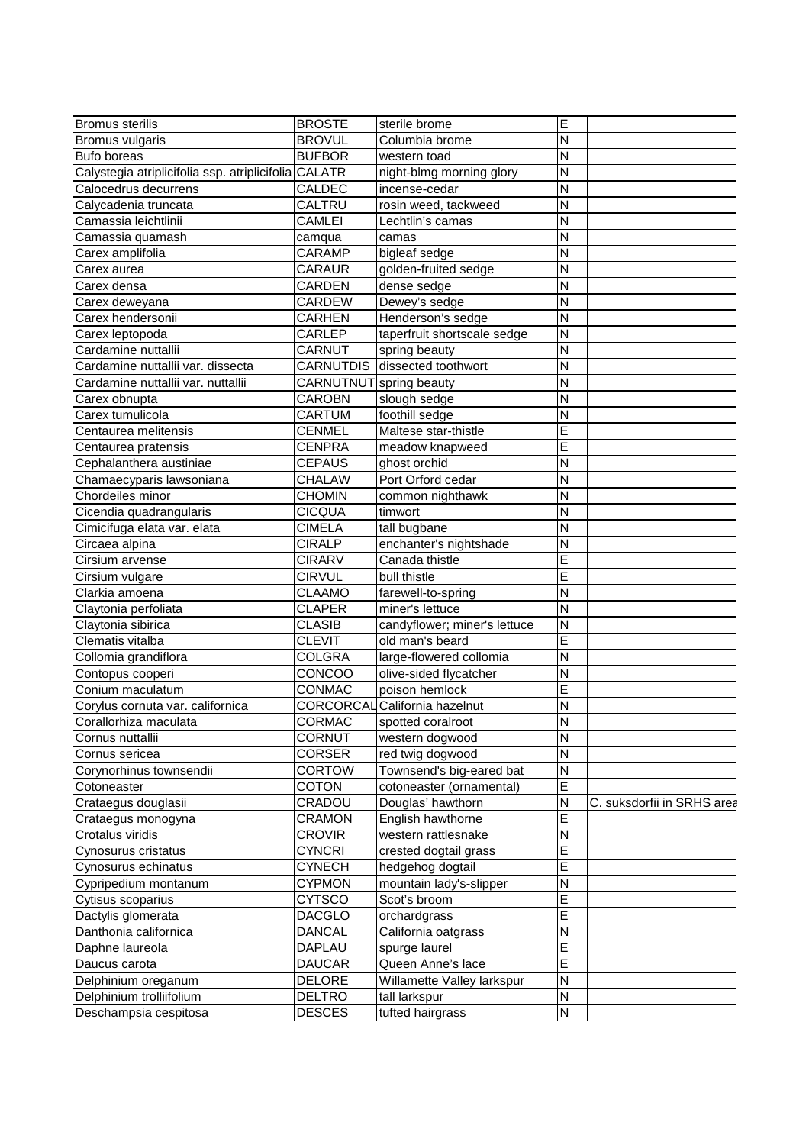| <b>Bromus sterilis</b>                               | <b>BROSTE</b>           | sterile brome                 | Е                       |                            |
|------------------------------------------------------|-------------------------|-------------------------------|-------------------------|----------------------------|
| Bromus vulgaris                                      | <b>BROVUL</b>           | Columbia brome                | N                       |                            |
| <b>Bufo boreas</b>                                   | <b>BUFBOR</b>           | western toad                  | N                       |                            |
| Calystegia atriplicifolia ssp. atriplicifolia CALATR |                         | night-blmg morning glory      | N                       |                            |
| Calocedrus decurrens                                 | <b>CALDEC</b>           | incense-cedar                 | N                       |                            |
| Calycadenia truncata                                 | CALTRU                  | rosin weed, tackweed          | N                       |                            |
| Camassia leichtlinii                                 | CAMLEI                  | Lechtlin's camas              | N                       |                            |
| Camassia quamash                                     | camqua                  | camas                         | N                       |                            |
| Carex amplifolia                                     | CARAMP                  | bigleaf sedge                 | N                       |                            |
| Carex aurea                                          | CARAUR                  | golden-fruited sedge          | N                       |                            |
| Carex densa                                          | CARDEN                  | dense sedge                   | N                       |                            |
| Carex deweyana                                       | CARDEW                  | Dewey's sedge                 | N                       |                            |
| Carex hendersonii                                    | <b>CARHEN</b>           | Henderson's sedge             | N                       |                            |
| Carex leptopoda                                      | CARLEP                  | taperfruit shortscale sedge   | N                       |                            |
| Cardamine nuttallii                                  | CARNUT                  | spring beauty                 | N                       |                            |
| Cardamine nuttallii var. dissecta                    | CARNUTDIS               | dissected toothwort           | N                       |                            |
| Cardamine nuttallii var. nuttallii                   | CARNUTNUT spring beauty |                               | N                       |                            |
| Carex obnupta                                        | CAROBN                  | slough sedge                  | N                       |                            |
| Carex tumulicola                                     | CARTUM                  | foothill sedge                | N                       |                            |
| Centaurea melitensis                                 | <b>CENMEL</b>           | Maltese star-thistle          | Е                       |                            |
| Centaurea pratensis                                  | <b>CENPRA</b>           | meadow knapweed               | E                       |                            |
| Cephalanthera austiniae                              | <b>CEPAUS</b>           | ghost orchid                  | N                       |                            |
| Chamaecyparis lawsoniana                             | <b>CHALAW</b>           | Port Orford cedar             | N                       |                            |
| Chordeiles minor                                     | <b>CHOMIN</b>           | common nighthawk              | N                       |                            |
| Cicendia quadrangularis                              | <b>CICQUA</b>           | timwort                       | N                       |                            |
| Cimicifuga elata var. elata                          | <b>CIMELA</b>           | tall bugbane                  | N                       |                            |
| Circaea alpina                                       | <b>CIRALP</b>           | enchanter's nightshade        | N                       |                            |
| Cirsium arvense                                      | <b>CIRARV</b>           | Canada thistle                | E                       |                            |
| Cirsium vulgare                                      | <b>CIRVUL</b>           | bull thistle                  | E                       |                            |
| Clarkia amoena                                       | <b>CLAAMO</b>           | farewell-to-spring            | N                       |                            |
| Claytonia perfoliata                                 | <b>CLAPER</b>           | miner's lettuce               | N                       |                            |
| Claytonia sibirica                                   | <b>CLASIB</b>           | candyflower; miner's lettuce  | N                       |                            |
| Clematis vitalba                                     | <b>CLEVIT</b>           | old man's beard               | Ε                       |                            |
| Collomia grandiflora                                 | <b>COLGRA</b>           | large-flowered collomia       | N                       |                            |
| Contopus cooperi                                     | CONCOO                  | olive-sided flycatcher        | N                       |                            |
| Conium maculatum                                     | CONMAC                  | poison hemlock                | E                       |                            |
| Corylus cornuta var. californica                     |                         | CORCORCAL California hazelnut | N                       |                            |
| Corallorhiza maculata                                | CORMAC                  | spotted coralroot             | $\overline{\mathsf{N}}$ |                            |
| Cornus nuttallii                                     | CORNUT                  | western dogwood               | N                       |                            |
| Cornus sericea                                       | <b>CORSER</b>           | red twig dogwood              | N                       |                            |
| Corynorhinus townsendii                              | <b>CORTOW</b>           | Townsend's big-eared bat      | ${\sf N}$               |                            |
| Cotoneaster                                          | <b>COTON</b>            | cotoneaster (ornamental)      | E                       |                            |
| Crataegus douglasii                                  | CRADOU                  | Douglas' hawthorn             | $\mathsf{N}$            | C. suksdorfii in SRHS area |
| Crataegus monogyna                                   | <b>CRAMON</b>           | English hawthorne             | Ε                       |                            |
| Crotalus viridis                                     | <b>CROVIR</b>           | western rattlesnake           | N                       |                            |
| Cynosurus cristatus                                  | <b>CYNCRI</b>           | crested dogtail grass         | E                       |                            |
| Cynosurus echinatus                                  | <b>CYNECH</b>           | hedgehog dogtail              | E                       |                            |
| Cypripedium montanum                                 | <b>CYPMON</b>           | mountain lady's-slipper       | N                       |                            |
| Cytisus scoparius                                    | CYTSCO                  | Scot's broom                  | E                       |                            |
| Dactylis glomerata                                   | <b>DACGLO</b>           | orchardgrass                  | E                       |                            |
| Danthonia californica                                | <b>DANCAL</b>           | California oatgrass           | ${\sf N}$               |                            |
| Daphne laureola                                      | DAPLAU                  | spurge laurel                 | E                       |                            |
| Daucus carota                                        | <b>DAUCAR</b>           | Queen Anne's lace             | E                       |                            |
| Delphinium oreganum                                  | <b>DELORE</b>           | Willamette Valley larkspur    | N                       |                            |
| Delphinium trolliifolium                             | DELTRO                  | tall larkspur                 | N                       |                            |
| Deschampsia cespitosa                                | <b>DESCES</b>           | tufted hairgrass              | N                       |                            |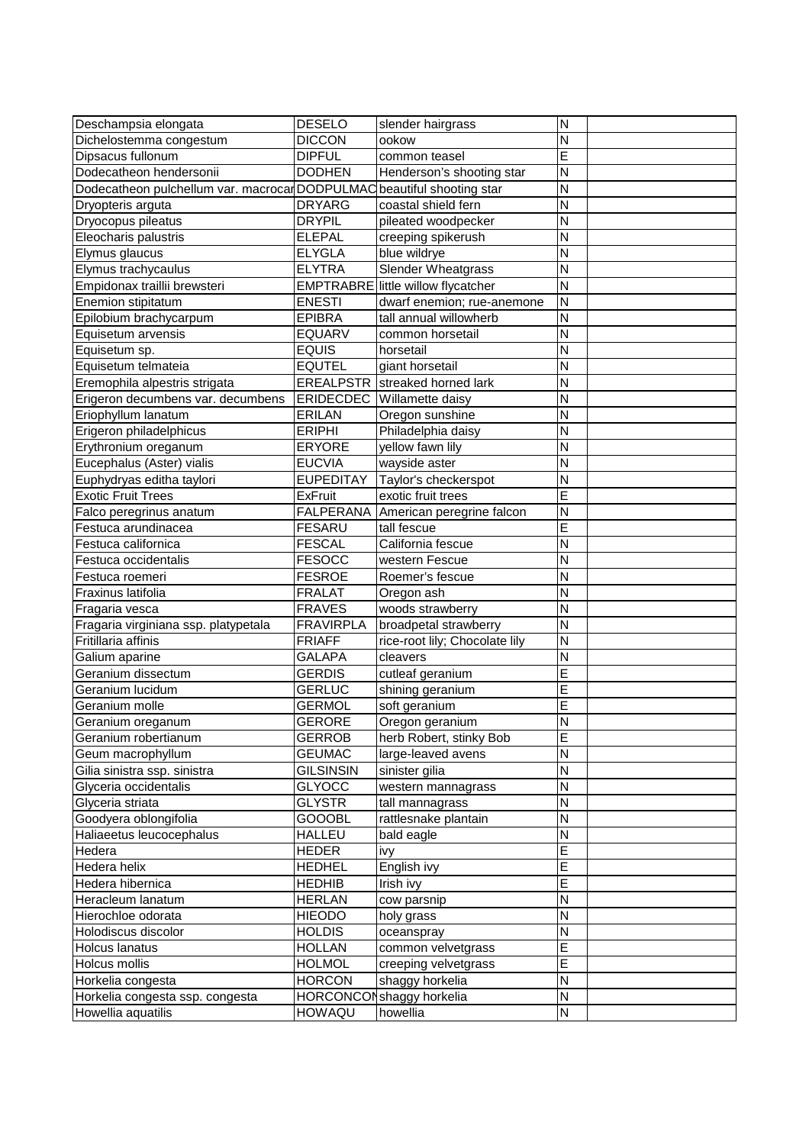| Deschampsia elongata                                                  | <b>DESELO</b>                  | slender hairgrass                     | N                       |  |
|-----------------------------------------------------------------------|--------------------------------|---------------------------------------|-------------------------|--|
| Dichelostemma congestum                                               | <b>DICCON</b>                  | ookow                                 | N                       |  |
| Dipsacus fullonum                                                     | <b>DIPFUL</b>                  | common teasel                         | E                       |  |
| Dodecatheon hendersonii                                               | <b>DODHEN</b>                  | Henderson's shooting star             | N                       |  |
| Dodecatheon pulchellum var. macrocarDODPULMAC beautiful shooting star |                                |                                       | N                       |  |
| Dryopteris arguta                                                     | <b>DRYARG</b>                  | coastal shield fern                   | N                       |  |
| Dryocopus pileatus                                                    | <b>DRYPIL</b>                  | pileated woodpecker                   | N                       |  |
| Eleocharis palustris                                                  | <b>ELEPAL</b>                  | creeping spikerush                    | N                       |  |
| Elymus glaucus                                                        | <b>ELYGLA</b>                  | blue wildrye                          | N                       |  |
| Elymus trachycaulus                                                   | <b>ELYTRA</b>                  | <b>Slender Wheatgrass</b>             | N                       |  |
| Empidonax traillii brewsteri                                          |                                | EMPTRABRE little willow flycatcher    | N                       |  |
| Enemion stipitatum                                                    | <b>ENESTI</b>                  | dwarf enemion; rue-anemone            | N                       |  |
| Epilobium brachycarpum                                                | <b>EPIBRA</b>                  | tall annual willowherb                | N                       |  |
| Equisetum arvensis                                                    | <b>EQUARV</b>                  | common horsetail                      | <b>N</b>                |  |
| Equisetum sp.                                                         | <b>EQUIS</b>                   | horsetail                             | N                       |  |
| Equisetum telmateia                                                   | <b>EQUTEL</b>                  | giant horsetail                       | N                       |  |
| Eremophila alpestris strigata                                         |                                | <b>EREALPSTR</b> streaked horned lark | N                       |  |
| Erigeron decumbens var. decumbens                                     |                                | <b>ERIDECDEC</b> Willamette daisy     | N                       |  |
| Eriophyllum lanatum                                                   | <b>ERILAN</b>                  | Oregon sunshine                       | $\overline{\mathsf{N}}$ |  |
| Erigeron philadelphicus                                               | <b>ERIPHI</b>                  | Philadelphia daisy                    | N                       |  |
| Erythronium oreganum                                                  | <b>ERYORE</b>                  | yellow fawn lily                      | N                       |  |
| Eucephalus (Aster) vialis                                             | <b>EUCVIA</b>                  | wayside aster                         | N                       |  |
| Euphydryas editha taylori                                             | <b>EUPEDITAY</b>               | Taylor's checkerspot                  | N                       |  |
| <b>Exotic Fruit Trees</b>                                             | <b>ExFruit</b>                 | exotic fruit trees                    | E                       |  |
| Falco peregrinus anatum                                               |                                | FALPERANA American peregrine falcon   | N                       |  |
| Festuca arundinacea                                                   | <b>FESARU</b>                  | tall fescue                           | E                       |  |
| Festuca californica                                                   | <b>FESCAL</b>                  | California fescue                     | N                       |  |
| Festuca occidentalis                                                  | <b>FESOCC</b>                  | western Fescue                        | N                       |  |
| Festuca roemeri                                                       | <b>FESROE</b>                  | Roemer's fescue                       | N                       |  |
| Fraxinus latifolia                                                    | <b>FRALAT</b>                  | Oregon ash                            | N                       |  |
| Fragaria vesca                                                        | <b>FRAVES</b>                  | woods strawberry                      | N                       |  |
| Fragaria virginiana ssp. platypetala                                  | <b>FRAVIRPLA</b>               | broadpetal strawberry                 | N                       |  |
| Fritillaria affinis                                                   | <b>FRIAFF</b>                  | rice-root lily; Chocolate lily        | N                       |  |
| Galium aparine                                                        | <b>GALAPA</b>                  | cleavers                              | N                       |  |
| Geranium dissectum                                                    | <b>GERDIS</b>                  | cutleaf geranium                      | E                       |  |
| Geranium lucidum                                                      | <b>GERLUC</b>                  | shining geranium                      | E                       |  |
| Geranium molle                                                        | <b>GERMOL</b>                  | soft geranium                         | Ε                       |  |
| Geranium oreganum                                                     | GERORE                         | Oregon geranium                       | Z                       |  |
| Geranium robertianum                                                  | <b>GERROB</b>                  | herb Robert, stinky Bob               | E                       |  |
| Geum macrophyllum                                                     | <b>GEUMAC</b>                  | large-leaved avens                    | N                       |  |
| Gilia sinistra ssp. sinistra                                          | <b>GILSINSIN</b>               | sinister gilia                        | N                       |  |
| Glyceria occidentalis                                                 | <b>GLYOCC</b>                  | western mannagrass                    | N                       |  |
| Glyceria striata                                                      | <b>GLYSTR</b>                  | tall mannagrass                       | N                       |  |
| Goodyera oblongifolia                                                 | <b>GOOOBL</b>                  | rattlesnake plantain                  | N                       |  |
| Haliaeetus leucocephalus                                              | <b>HALLEU</b>                  | bald eagle                            | $\overline{\mathsf{N}}$ |  |
| Hedera                                                                | HEDER                          | ivy                                   | E                       |  |
| Hedera helix                                                          | <b>HEDHEL</b>                  | English ivy                           | E                       |  |
| Hedera hibernica                                                      | <b>HEDHIB</b>                  |                                       | E                       |  |
| Heracleum lanatum                                                     | <b>HERLAN</b>                  | Irish ivy<br>cow parsnip              | $\mathsf{N}$            |  |
| Hierochloe odorata                                                    | <b>HIEODO</b>                  |                                       | N                       |  |
| Holodiscus discolor                                                   |                                | holy grass                            | $\mathsf{N}$            |  |
| Holcus lanatus                                                        | <b>HOLDIS</b><br><b>HOLLAN</b> | oceanspray                            | E                       |  |
| Holcus mollis                                                         |                                | common velvetgrass                    | E                       |  |
|                                                                       | <b>HOLMOL</b>                  | creeping velvetgrass                  | N                       |  |
| Horkelia congesta                                                     | <b>HORCON</b>                  | shaggy horkelia                       | $\mathsf{N}$            |  |
| Horkelia congesta ssp. congesta<br>Howellia aquatilis                 |                                | HORCONCON shaggy horkelia<br>howellia | N                       |  |
|                                                                       | HOWAQU                         |                                       |                         |  |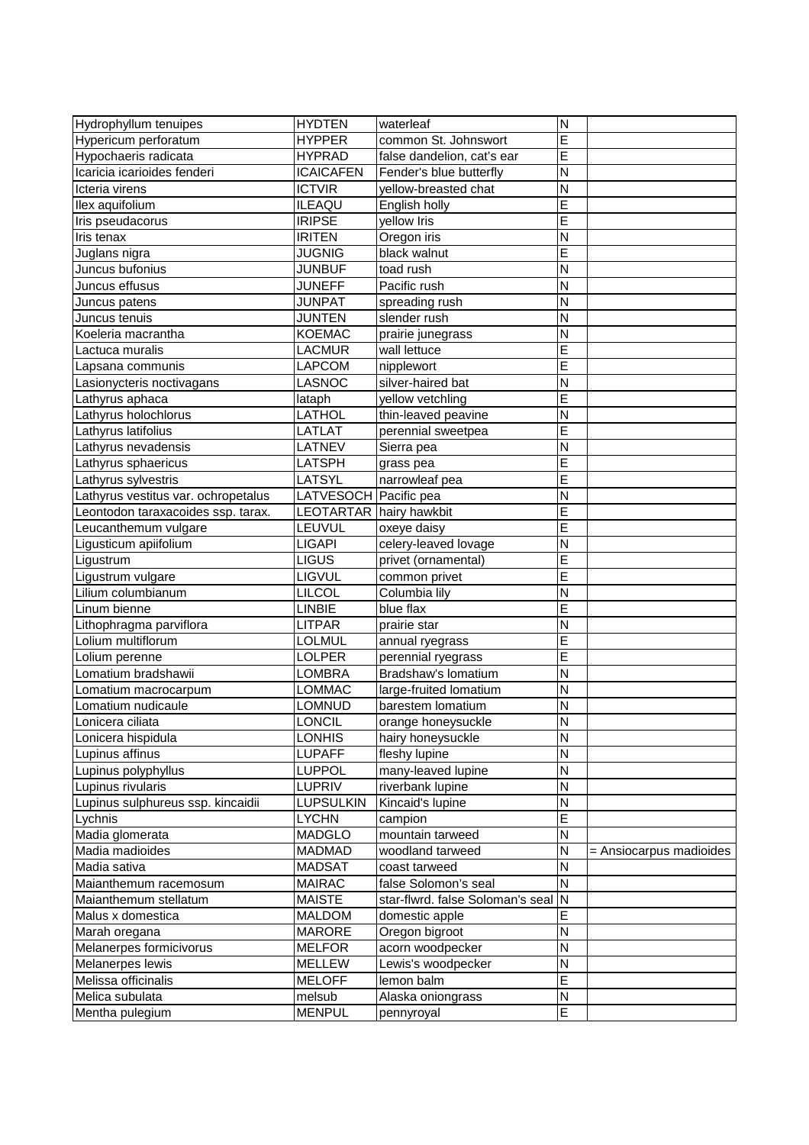| Hydrophyllum tenuipes               | <b>HYDTEN</b>           | waterleaf                        | N                       |                         |
|-------------------------------------|-------------------------|----------------------------------|-------------------------|-------------------------|
| Hypericum perforatum                | <b>HYPPER</b>           | common St. Johnswort             | E                       |                         |
| Hypochaeris radicata                | <b>HYPRAD</b>           | false dandelion, cat's ear       | E                       |                         |
| Icaricia icarioides fenderi         | <b>ICAICAFEN</b>        | Fender's blue butterfly          | N                       |                         |
| Icteria virens                      | <b>ICTVIR</b>           | yellow-breasted chat             | N                       |                         |
| llex aquifolium                     | <b>ILEAQU</b>           | English holly                    | E                       |                         |
| Iris pseudacorus                    | <b>IRIPSE</b>           | yellow Iris                      | E                       |                         |
| Iris tenax                          | <b>IRITEN</b>           | Oregon iris                      | N                       |                         |
| Juglans nigra                       | JUGNIG                  | black walnut                     | E                       |                         |
| Juncus bufonius                     | <b>JUNBUF</b>           | toad rush                        | N                       |                         |
| Juncus effusus                      | <b>JUNEFF</b>           | Pacific rush                     | N                       |                         |
| Juncus patens                       | <b>JUNPAT</b>           | spreading rush                   | N                       |                         |
| Juncus tenuis                       | JUNTEN                  | slender rush                     | N                       |                         |
| Koeleria macrantha                  | <b>KOEMAC</b>           | prairie junegrass                | N                       |                         |
| Lactuca muralis                     | <b>LACMUR</b>           | wall lettuce                     | E                       |                         |
| Lapsana communis                    | <b>LAPCOM</b>           | nipplewort                       | E                       |                         |
| Lasionycteris noctivagans           | LASNOC                  | silver-haired bat                | N                       |                         |
| Lathyrus aphaca                     | lataph                  | yellow vetchling                 | E                       |                         |
| Lathyrus holochlorus                | LATHOL                  | thin-leaved peavine              | N                       |                         |
| Lathyrus latifolius                 | <b>LATLAT</b>           | perennial sweetpea               | E                       |                         |
| Lathyrus nevadensis                 | LATNEV                  | Sierra pea                       | N                       |                         |
| Lathyrus sphaericus                 | LATSPH                  |                                  | E                       |                         |
|                                     | <b>LATSYL</b>           | grass pea<br>narrowleaf pea      | E                       |                         |
| Lathyrus sylvestris                 |                         |                                  |                         |                         |
| Lathyrus vestitus var. ochropetalus | LATVESOCH Pacific pea   |                                  | N                       |                         |
| Leontodon taraxacoides ssp. tarax.  | LEOTARTAR hairy hawkbit |                                  | E                       |                         |
| Leucanthemum vulgare                | LEUVUL                  | oxeye daisy                      | E                       |                         |
| Ligusticum apiifolium               | <b>LIGAPI</b>           | celery-leaved lovage             | N                       |                         |
| Ligustrum                           | <b>LIGUS</b>            | privet (ornamental)              | E                       |                         |
| Ligustrum vulgare                   | <b>LIGVUL</b>           | common privet                    | E                       |                         |
| Lilium columbianum                  | <b>LILCOL</b>           | Columbia lily                    | N                       |                         |
| Linum bienne                        | <b>LINBIE</b>           | blue flax                        | E                       |                         |
| Lithophragma parviflora             | <b>LITPAR</b>           | prairie star                     | N                       |                         |
| Lolium multiflorum                  | <b>LOLMUL</b>           | annual ryegrass                  | E                       |                         |
| Lolium perenne                      | <b>LOLPER</b>           | perennial ryegrass               | E                       |                         |
| Lomatium bradshawii                 | LOMBRA                  | Bradshaw's lomatium              | N                       |                         |
| Lomatium macrocarpum                | <b>LOMMAC</b>           | large-fruited lomatium           | N                       |                         |
| Lomatium nudicaule                  | <b>LOMNUD</b>           | barestem lomatium                | N                       |                         |
| Lonicera ciliata                    | <b>LONCIL</b>           | orange honeysuckle               | $\overline{\mathsf{N}}$ |                         |
| Lonicera hispidula                  | <b>LONHIS</b>           | hairy honeysuckle                | $\overline{N}$          |                         |
| Lupinus affinus                     | <b>LUPAFF</b>           | fleshy lupine                    | ${\sf N}$               |                         |
| Lupinus polyphyllus                 | <b>LUPPOL</b>           | many-leaved lupine               | N                       |                         |
| Lupinus rivularis                   | LUPRIV                  | riverbank lupine                 | $\overline{\mathsf{N}}$ |                         |
| Lupinus sulphureus ssp. kincaidii   | <b>LUPSULKIN</b>        | Kincaid's lupine                 | N                       |                         |
| Lychnis                             | <b>LYCHN</b>            | campion                          | E                       |                         |
| Madia glomerata                     | <b>MADGLO</b>           | mountain tarweed                 | N                       |                         |
| Madia madioides                     | <b>MADMAD</b>           | woodland tarweed                 | ΙZ                      | = Ansiocarpus madioides |
| Madia sativa                        | <b>MADSAT</b>           | coast tarweed                    | N                       |                         |
| Maianthemum racemosum               | <b>MAIRAC</b>           | false Solomon's seal             | N                       |                         |
| Maianthemum stellatum               | <b>MAISTE</b>           | star-flwrd. false Soloman's seal | N                       |                         |
| Malus x domestica                   | <b>MALDOM</b>           | domestic apple                   | E                       |                         |
| Marah oregana                       | <b>MARORE</b>           | Oregon bigroot                   | N                       |                         |
| Melanerpes formicivorus             | <b>MELFOR</b>           | acorn woodpecker                 | N                       |                         |
| Melanerpes lewis                    | <b>MELLEW</b>           | Lewis's woodpecker               | $\mathsf{N}$            |                         |
| Melissa officinalis                 | <b>MELOFF</b>           | lemon balm                       | E                       |                         |
| Melica subulata                     | melsub                  | Alaska oniongrass                | N                       |                         |
| Mentha pulegium                     | <b>MENPUL</b>           | pennyroyal                       | E                       |                         |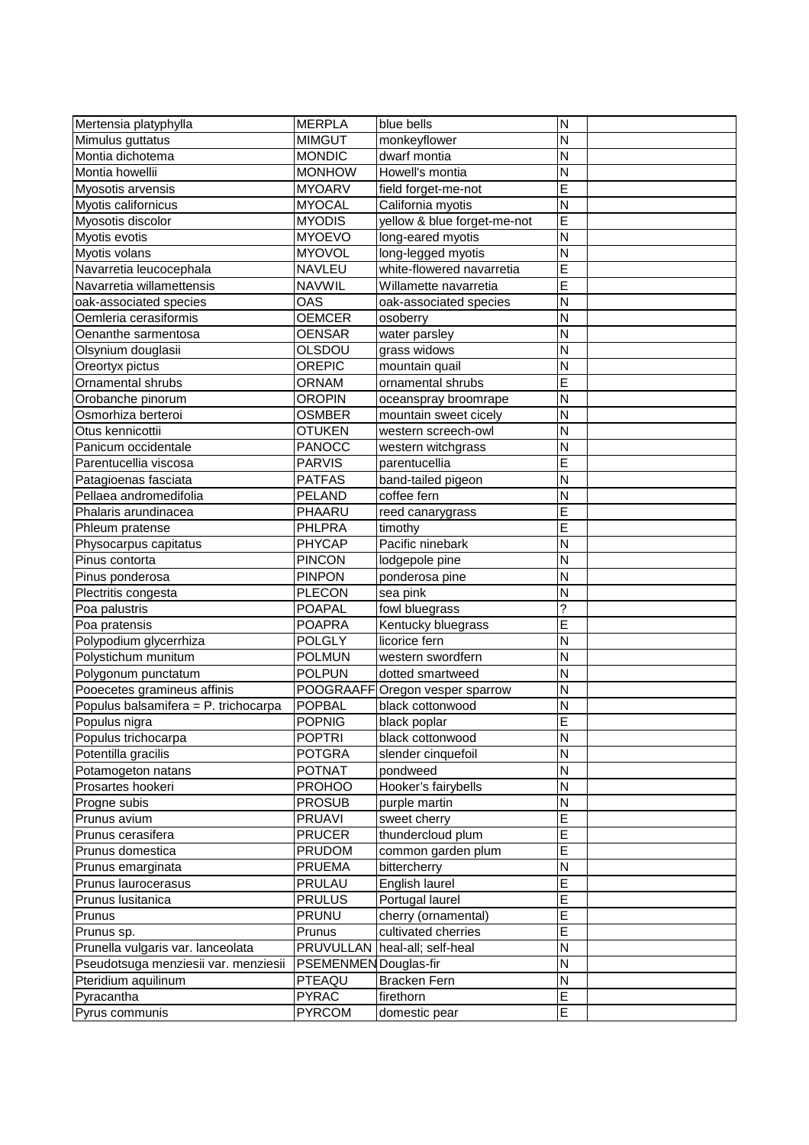| Mertensia platyphylla                | <b>MERPLA</b>         | blue bells                      | N                       |  |
|--------------------------------------|-----------------------|---------------------------------|-------------------------|--|
| Mimulus guttatus                     | <b>MIMGUT</b>         | monkeyflower                    | N                       |  |
| Montia dichotema                     | <b>MONDIC</b>         | dwarf montia                    | N                       |  |
| Montia howellii                      | <b>MONHOW</b>         | Howell's montia                 | N                       |  |
| Myosotis arvensis                    | <b>MYOARV</b>         | field forget-me-not             | E                       |  |
| Myotis californicus                  | <b>MYOCAL</b>         | California myotis               | N                       |  |
| Myosotis discolor                    | <b>MYODIS</b>         | yellow & blue forget-me-not     | E                       |  |
| Myotis evotis                        | <b>MYOEVO</b>         | long-eared myotis               | N                       |  |
| Myotis volans                        | <b>MYOVOL</b>         | long-legged myotis              | N                       |  |
| Navarretia leucocephala              | <b>NAVLEU</b>         | white-flowered navarretia       | E                       |  |
| Navarretia willamettensis            | <b>NAVWIL</b>         | Willamette navarretia           | E                       |  |
| oak-associated species               | OAS                   | oak-associated species          | N                       |  |
| Oemleria cerasiformis                | <b>OEMCER</b>         | osoberry                        | N                       |  |
| Oenanthe sarmentosa                  | <b>OENSAR</b>         | water parsley                   | N                       |  |
| Olsynium douglasii                   | OLSDOU                | grass widows                    | N                       |  |
| Oreortyx pictus                      | <b>OREPIC</b>         | mountain quail                  | $\overline{\mathsf{N}}$ |  |
| Ornamental shrubs                    | <b>ORNAM</b>          | ornamental shrubs               | E                       |  |
| Orobanche pinorum                    | <b>OROPIN</b>         | oceanspray broomrape            | N                       |  |
| Osmorhiza berteroi                   | <b>OSMBER</b>         | mountain sweet cicely           | N                       |  |
| Otus kennicottii                     | <b>OTUKEN</b>         | western screech-owl             | N                       |  |
| Panicum occidentale                  | <b>PANOCC</b>         | western witchgrass              | N                       |  |
| Parentucellia viscosa                | <b>PARVIS</b>         | parentucellia                   | E                       |  |
| Patagioenas fasciata                 | <b>PATFAS</b>         | band-tailed pigeon              | N                       |  |
| Pellaea andromedifolia               | <b>PELAND</b>         | coffee fern                     | N                       |  |
| Phalaris arundinacea                 | PHAARU                | reed canarygrass                | E                       |  |
| Phleum pratense                      | PHLPRA                | timothy                         | E                       |  |
| Physocarpus capitatus                | <b>PHYCAP</b>         | Pacific ninebark                | N                       |  |
| Pinus contorta                       | <b>PINCON</b>         | lodgepole pine                  | N                       |  |
| Pinus ponderosa                      | <b>PINPON</b>         | ponderosa pine                  | N                       |  |
| Plectritis congesta                  | <b>PLECON</b>         | sea pink                        | N                       |  |
| Poa palustris                        | <b>POAPAL</b>         | fowl bluegrass                  | ?                       |  |
| Poa pratensis                        | <b>POAPRA</b>         | Kentucky bluegrass              | E                       |  |
| Polypodium glycerrhiza               | <b>POLGLY</b>         | licorice fern                   | N                       |  |
| Polystichum munitum                  | <b>POLMUN</b>         | western swordfern               | N                       |  |
| Polygonum punctatum                  | <b>POLPUN</b>         | dotted smartweed                | N                       |  |
| Pooecetes gramineus affinis          |                       | POOGRAAFF Oregon vesper sparrow | N                       |  |
| Populus balsamifera = P. trichocarpa | <b>POPBAL</b>         | black cottonwood                | N                       |  |
| Populus nigra                        | <b>POPNIG</b>         | black poplar                    | F                       |  |
| Populus trichocarpa                  | <b>POPTRI</b>         | black cottonwood                | N                       |  |
| Potentilla gracilis                  | <b>POTGRA</b>         | slender cinquefoil              | N                       |  |
| Potamogeton natans                   | <b>POTNAT</b>         | pondweed                        | ΙZ                      |  |
| Prosartes hookeri                    | <b>PROHOO</b>         | Hooker's fairybells             | N                       |  |
| Progne subis                         | <b>PROSUB</b>         | purple martin                   | N                       |  |
| Prunus avium                         | <b>PRUAVI</b>         | sweet cherry                    | E                       |  |
| Prunus cerasifera                    | <b>PRUCER</b>         | thundercloud plum               | E                       |  |
| Prunus domestica                     | <b>PRUDOM</b>         | common garden plum              | E                       |  |
| Prunus emarginata                    | <b>PRUEMA</b>         | bittercherry                    | ${\sf N}$               |  |
| Prunus laurocerasus                  | PRULAU                | English laurel                  | E                       |  |
| Prunus Iusitanica                    | <b>PRULUS</b>         | Portugal laurel                 | E                       |  |
| Prunus                               | <b>PRUNU</b>          | cherry (ornamental)             | E                       |  |
| Prunus sp.                           | Prunus                | cultivated cherries             | E                       |  |
| Prunella vulgaris var. lanceolata    |                       | PRUVULLAN heal-all; self-heal   | N                       |  |
| Pseudotsuga menziesii var. menziesii | PSEMENMEN Douglas-fir |                                 | N                       |  |
| Pteridium aquilinum                  | PTEAQU                | <b>Bracken Fern</b>             | N                       |  |
| Pyracantha                           | <b>PYRAC</b>          | firethorn                       | E                       |  |
| Pyrus communis                       | <b>PYRCOM</b>         | domestic pear                   | $\overline{E}$          |  |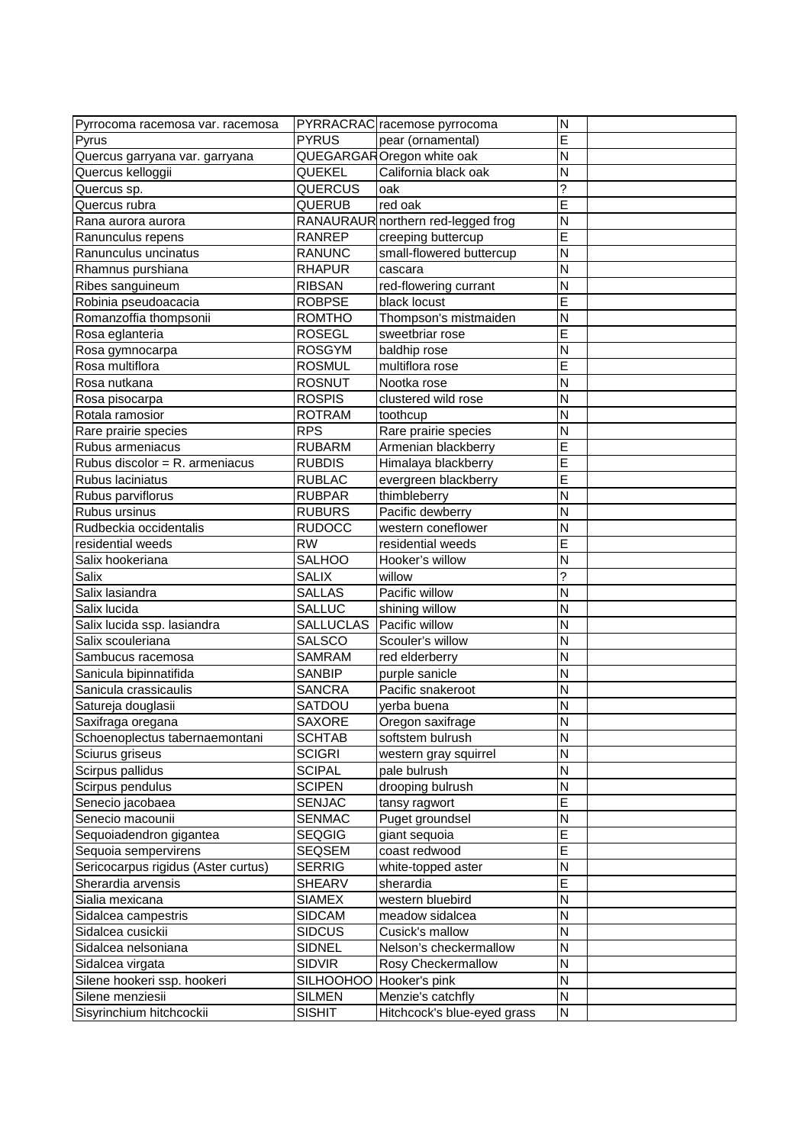| Pyrrocoma racemosa var. racemosa                |                  | PYRRACRAC racemose pyrrocoma         | $\mathsf{N}$            |  |
|-------------------------------------------------|------------------|--------------------------------------|-------------------------|--|
| Pyrus                                           | <b>PYRUS</b>     | pear (ornamental)                    | Ē                       |  |
| Quercus garryana var. garryana                  |                  | QUEGARGAROregon white oak            | N                       |  |
| Quercus kelloggii                               | QUEKEL           | California black oak                 | N                       |  |
| Quercus sp.                                     | QUERCUS          | oak                                  | ?                       |  |
| Quercus rubra                                   | QUERUB           | red oak                              | E                       |  |
| Rana aurora aurora                              |                  | RANAURAUR northern red-legged frog   | N                       |  |
| Ranunculus repens                               | RANREP           | creeping buttercup                   | E                       |  |
| Ranunculus uncinatus                            | <b>RANUNC</b>    | small-flowered buttercup             | N                       |  |
| Rhamnus purshiana                               | <b>RHAPUR</b>    | cascara                              | N                       |  |
| Ribes sanguineum                                | <b>RIBSAN</b>    | red-flowering currant                | N                       |  |
| Robinia pseudoacacia                            | <b>ROBPSE</b>    | black locust                         | E                       |  |
| Romanzoffia thompsonii                          | <b>ROMTHO</b>    | Thompson's mistmaiden                | N                       |  |
| Rosa eglanteria                                 | <b>ROSEGL</b>    | sweetbriar rose                      | E                       |  |
| Rosa gymnocarpa                                 | <b>ROSGYM</b>    | baldhip rose                         | N                       |  |
| Rosa multiflora                                 | <b>ROSMUL</b>    | multiflora rose                      | E                       |  |
| Rosa nutkana                                    | <b>ROSNUT</b>    | Nootka rose                          | N                       |  |
| Rosa pisocarpa                                  | <b>ROSPIS</b>    | clustered wild rose                  | N                       |  |
| Rotala ramosior                                 | <b>ROTRAM</b>    | toothcup                             | N                       |  |
| Rare prairie species                            | <b>RPS</b>       | Rare prairie species                 | N                       |  |
| Rubus armeniacus                                | <b>RUBARM</b>    | Armenian blackberry                  | E                       |  |
| Rubus discolor = R. armeniacus                  | <b>RUBDIS</b>    | Himalaya blackberry                  | E                       |  |
| Rubus laciniatus                                | <b>RUBLAC</b>    | evergreen blackberry                 | E                       |  |
| Rubus parviflorus                               | <b>RUBPAR</b>    | thimbleberry                         | N                       |  |
| Rubus ursinus                                   | <b>RUBURS</b>    | Pacific dewberry                     | N                       |  |
| Rudbeckia occidentalis                          | <b>RUDOCC</b>    | western coneflower                   | N                       |  |
| residential weeds                               | <b>RW</b>        | residential weeds                    | E                       |  |
| Salix hookeriana                                | <b>SALHOO</b>    | Hooker's willow                      | N                       |  |
| Salix                                           | <b>SALIX</b>     | willow                               | ?                       |  |
| Salix lasiandra                                 | <b>SALLAS</b>    | Pacific willow                       | N                       |  |
| Salix lucida                                    | <b>SALLUC</b>    | shining willow                       | N                       |  |
| Salix lucida ssp. lasiandra                     | <b>SALLUCLAS</b> | Pacific willow                       | N                       |  |
| Salix scouleriana                               | SALSCO           | Scouler's willow                     | N                       |  |
| Sambucus racemosa                               | <b>SAMRAM</b>    | red elderberry                       | N                       |  |
| Sanicula bipinnatifida                          | <b>SANBIP</b>    | purple sanicle                       | N                       |  |
| Sanicula crassicaulis                           | <b>SANCRA</b>    | Pacific snakeroot                    | N                       |  |
| Satureja douglasii                              | SATDOU           | yerba buena                          | N                       |  |
| Saxifraga oregana                               | <b>SAXORE</b>    |                                      | $\overline{N}$          |  |
| Schoenoplectus tabernaemontani                  | <b>SCHTAB</b>    | Oregon saxifrage<br>softstem bulrush | $\overline{N}$          |  |
| Sciurus griseus                                 | <b>SCIGRI</b>    | western gray squirrel                | N                       |  |
| Scirpus pallidus                                | <b>SCIPAL</b>    | pale bulrush                         | $\mathsf{N}$            |  |
| Scirpus pendulus                                | <b>SCIPEN</b>    | drooping bulrush                     | N                       |  |
| Senecio jacobaea                                | <b>SENJAC</b>    |                                      | E                       |  |
| Senecio macounii                                | SENMAC           | tansy ragwort                        | N                       |  |
|                                                 | <b>SEQGIG</b>    | Puget groundsel                      | E                       |  |
| Sequoiadendron gigantea<br>Sequoia sempervirens | SEQSEM           | giant sequoia<br>coast redwood       | E                       |  |
|                                                 | <b>SERRIG</b>    |                                      | ${\sf N}$               |  |
| Sericocarpus rigidus (Aster curtus)             |                  | white-topped aster<br>sherardia      | E                       |  |
| Sherardia arvensis                              | SHEARV           |                                      | $\overline{\mathsf{N}}$ |  |
| Sialia mexicana                                 | <b>SIAMEX</b>    | western bluebird                     |                         |  |
| Sidalcea campestris                             | <b>SIDCAM</b>    | meadow sidalcea                      | $\mathsf{N}$            |  |
| Sidalcea cusickii                               | <b>SIDCUS</b>    | Cusick's mallow                      | $\mathsf{N}$            |  |
| Sidalcea nelsoniana                             | SIDNEL           | Nelson's checkermallow               | $\mathsf{N}$            |  |
| Sidalcea virgata                                | SIDVIR           | Rosy Checkermallow                   | N                       |  |
| Silene hookeri ssp. hookeri                     | SILHOOHOO        | Hooker's pink                        | $\mathsf{N}$            |  |
| Silene menziesii                                | SILMEN           | Menzie's catchfly                    | ${\sf N}$               |  |
| Sisyrinchium hitchcockii                        | <b>SISHIT</b>    | Hitchcock's blue-eyed grass          | ${\sf N}$               |  |